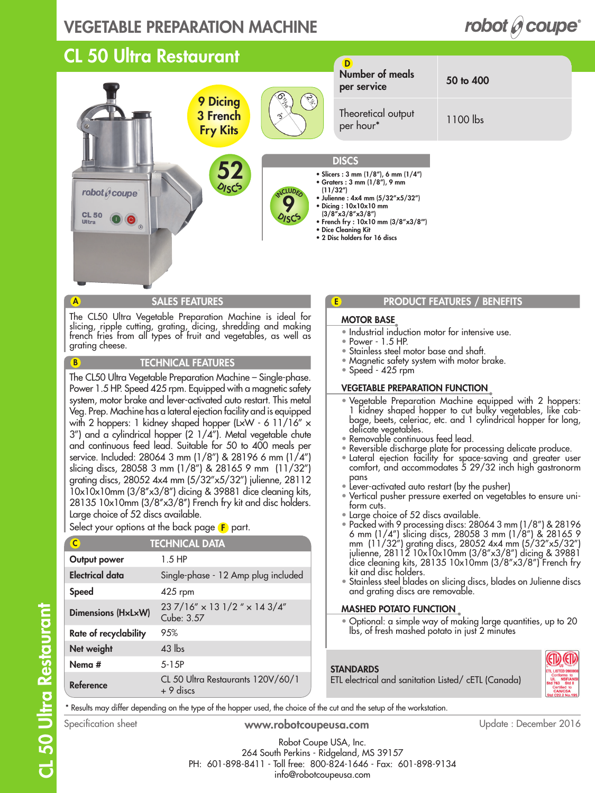### VEGETABLE PREPARATION MACHINE

#### CL 50 Ultra Restaurant D Number of meals per service 50 to 400 9 Dicing Theoretical output 3 French per hour\* 1100 lbs Fry Kits **DISCS** 52 • Slicers : 3 mm (1/8"), 6 mm (1/4") • Graters : 3 mm (1/8"), 9 mm  $O_{ISC}$ **CLUDE** (11/32") robot  $\theta$  coupe • Julienne : 4x4 mm (5/32"x5/32") 9 • Dicing : 10x10x10 mm  $(3/8''x3/8''x3/8'')$ **CL 50 DISCS** • French fry : 10x10 mm (3/8"x3/8"') • Dice Cleaning Kit • 2 Disc holders for 16 discs SALES FEATURES **PRODUCT FEATURES PRODUCT FEATURES PRODUCT PRODUCT PRODUCT PRODUCT** E A The CL50 Ultra Vegetable Preparation Machine is ideal for MOTOR BASE slicing, ripple cutting, grating, dicing, shredding and making • Industrial induction motor for intensive use. french fries from all types of fruit and vegetables, as well as • Power - 1.5 HP. grating cheese. • Stainless steel motor base and shaft. TECHNICAL FEATURES • Magnetic safety system with motor brake.  $\bullet$  Speed - 425 rpm The CL50 Ultra Vegetable Preparation Machine – Single-phase. VEGETABLE PREPARATION FUNCTION Power 1.5 HP. Speed 425 rpm. Equipped with a magnetic safety • Vegetable Preparation Machine equipped with 2 hoppers:

system, motor brake and lever-activated auto restart. This metal Veg. Prep. Machine has a lateral ejection facility and is equipped with 2 hoppers: 1 kidney shaped hopper (LxW - 6 11/16" x 3") and a cylindrical hopper (2 1/4"). Metal vegetable chute and continuous feed lead. Suitable for 50 to 400 meals per service. Included: 28064 3 mm (1/8") & 28196 6 mm (1/4") slicing discs, 28058 3 mm (1/8") & 28165 9 mm (11/32") grating discs, 28052 4x4 mm (5/32"x5/32") julienne, 28112 10x10x10mm (3/8''x3/8'') dicing & 39881 dice cleaning kits, 28135 10x10mm (3/8"x3/8") French fry kit and disc holders. Large choice of 52 discs available.

Select your options at the back page  $\left< \mathbf{F} \right>$  part.

| C                     | <b>TECHNICAL DATA</b>                                  |
|-----------------------|--------------------------------------------------------|
| Output power          | $1.5$ HP                                               |
| Electrical data       | Single-phase - 12 Amp plug included                    |
| <b>Speed</b>          | $425$ rpm                                              |
| Dimensions (HxLxW)    | $237/16'' \times 131/2'' \times 143/4''$<br>Cube: 3.57 |
| Rate of recyclability | 9.5%                                                   |
| Net weight            | $43$ lbs                                               |
| Nema #                | 5-15P                                                  |
| Reference             | CL 50 Ultra Restaurants 120V/60/1<br>$+9$ discs        |

- 1 kidney shaped hopper to cut bulky vegetables, like cabbage, beets, celeriac, etc. and 1 cylindrical hopper for long, delicate vegetables.
- Removable continuous feed lead.
- Reversible discharge plate for processing delicate produce.
- Lateral ejection facility for space-saving and greater user comfort, and accommodates 5 29/32 inch high gastronorm pans
- Lever-activated auto restart (by the pusher)
- Vertical pusher pressure exerted on vegetables to ensure uniform cuts.
- Large choice of 52 discs available.
- Packed with 9 processing discs: 28064 3 mm (1/8") & 28196 6 mm (1/4") slicing discs, 28058 3 mm (1/8") & 28165 9 mm (11/32") grating discs, 28052 4x4 mm (5/32"x5/32") julienne, 28112 10x10x10mm (3/8''x3/8'') dicing & 39881 dice cleaning kits, 28135 10x10mm (3/8"x3/8") French fry kit and disc holders.
- Stainless steel blades on slicing discs, blades on Julienne discs and grating discs are removable.

#### MASHED POTATO FUNCTION

• Optional: a simple way of making large quantities, up to 20 lbs, of fresh mashed potato in just 2 minutes



**STANDARDS** ETL electrical and sanitation Listed/ cETL (Canada)

\* Results may differ depending on the type of the hopper used, the choice of the cut and the setup of the workstation.

B

www.robotcoupeusa.com Specification sheet Update : December 2016

Robot Coupe USA, Inc. 264 South Perkins - Ridgeland, MS 39157 PH: 601-898-8411 - Toll free: 800-824-1646 - Fax: 601-898-9134 info@robotcoupeusa.com